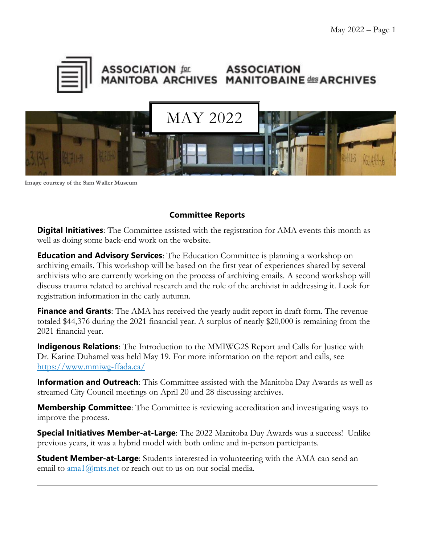

#### **ASSOCIATION for ASSOCIATION** MANITOBA ARCHIVES MANITOBAINE des ARCHIVES



**Image courtesy of the Sam Waller Museum**

### **Committee Reports**

**Digital Initiatives**: The Committee assisted with the registration for AMA events this month as well as doing some back-end work on the website.

**Education and Advisory Services**: The Education Committee is planning a workshop on archiving emails. This workshop will be based on the first year of experiences shared by several archivists who are currently working on the process of archiving emails. A second workshop will discuss trauma related to archival research and the role of the archivist in addressing it. Look for registration information in the early autumn.

**Finance and Grants**: The AMA has received the yearly audit report in draft form. The revenue totaled \$44,376 during the 2021 financial year. A surplus of nearly \$20,000 is remaining from the 2021 financial year.

**Indigenous Relations**: The Introduction to the MMIWG2S Report and Calls for Justice with Dr. Karine Duhamel was held May 19. For more information on the report and calls, see <https://www.mmiwg-ffada.ca/>

**Information and Outreach**: This Committee assisted with the Manitoba Day Awards as well as streamed City Council meetings on April 20 and 28 discussing archives.

**Membership Committee**: The Committee is reviewing accreditation and investigating ways to improve the process.

**Special Initiatives Member-at-Large**: The 2022 Manitoba Day Awards was a success! Unlike previous years, it was a hybrid model with both online and in-person participants.

**Student Member-at-Large**: Students interested in volunteering with the AMA can send an email to [ama1@mts.net](about:blank) or reach out to us on our social media.